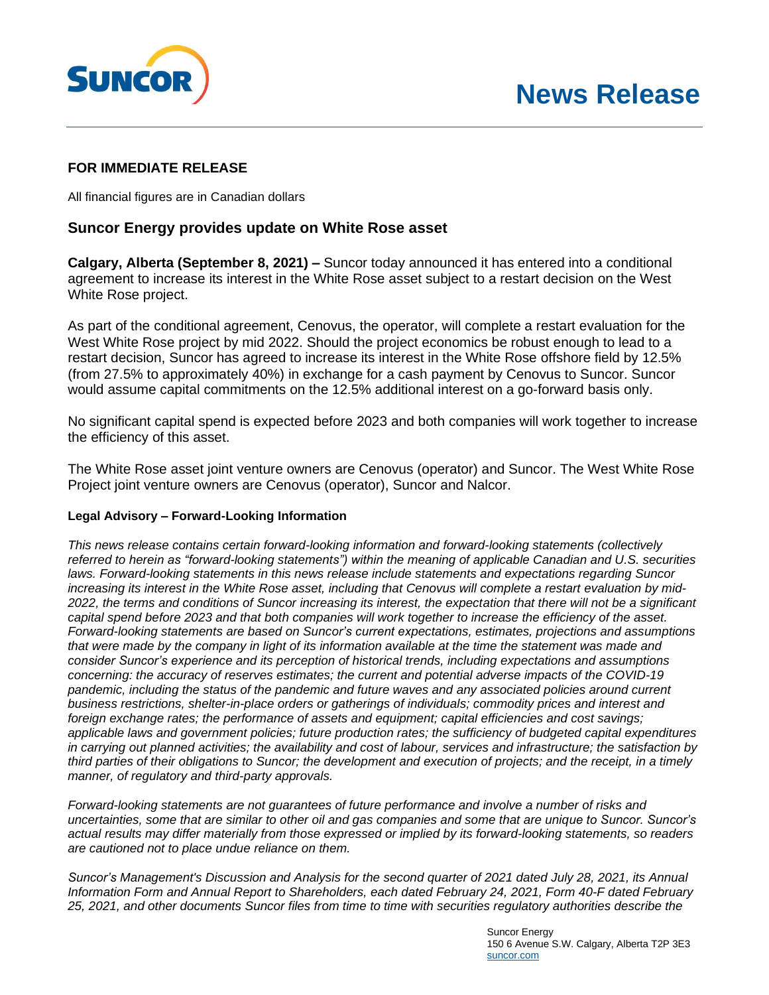

## **FOR IMMEDIATE RELEASE**

All financial figures are in Canadian dollars

## **Suncor Energy provides update on White Rose asset**

**Calgary, Alberta (September 8, 2021) –** Suncor today announced it has entered into a conditional agreement to increase its interest in the White Rose asset subject to a restart decision on the West White Rose project.

As part of the conditional agreement, Cenovus, the operator, will complete a restart evaluation for the West White Rose project by mid 2022. Should the project economics be robust enough to lead to a restart decision, Suncor has agreed to increase its interest in the White Rose offshore field by 12.5% (from 27.5% to approximately 40%) in exchange for a cash payment by Cenovus to Suncor. Suncor would assume capital commitments on the 12.5% additional interest on a go-forward basis only.

No significant capital spend is expected before 2023 and both companies will work together to increase the efficiency of this asset.

The White Rose asset joint venture owners are Cenovus (operator) and Suncor. The West White Rose Project joint venture owners are Cenovus (operator), Suncor and Nalcor.

## **Legal Advisory – Forward-Looking Information**

*This news release contains certain forward-looking information and forward-looking statements (collectively referred to herein as "forward-looking statements") within the meaning of applicable Canadian and U.S. securities laws. Forward-looking statements in this news release include statements and expectations regarding Suncor* increasing its interest in the White Rose asset, including that Cenovus will complete a restart evaluation by mid-*2022, the terms and conditions of Suncor increasing its interest, the expectation that there will not be a significant capital spend before 2023 and that both companies will work together to increase the efficiency of the asset. Forward-looking statements are based on Suncor's current expectations, estimates, projections and assumptions that were made by the company in light of its information available at the time the statement was made and consider Suncor's experience and its perception of historical trends, including expectations and assumptions concerning: the accuracy of reserves estimates; the current and potential adverse impacts of the COVID-19 pandemic, including the status of the pandemic and future waves and any associated policies around current business restrictions, shelter-in-place orders or gatherings of individuals; commodity prices and interest and foreign exchange rates; the performance of assets and equipment; capital efficiencies and cost savings; applicable laws and government policies; future production rates; the sufficiency of budgeted capital expenditures in carrying out planned activities; the availability and cost of labour, services and infrastructure; the satisfaction by third parties of their obligations to Suncor; the development and execution of projects; and the receipt, in a timely manner, of regulatory and third-party approvals.*

*Forward-looking statements are not guarantees of future performance and involve a number of risks and uncertainties, some that are similar to other oil and gas companies and some that are unique to Suncor. Suncor's actual results may differ materially from those expressed or implied by its forward-looking statements, so readers are cautioned not to place undue reliance on them.* 

*Suncor's Management's Discussion and Analysis for the second quarter of 2021 dated July 28, 2021, its Annual Information Form and Annual Report to Shareholders, each dated February 24, 2021, Form 40-F dated February 25, 2021, and other documents Suncor files from time to time with securities regulatory authorities describe the*